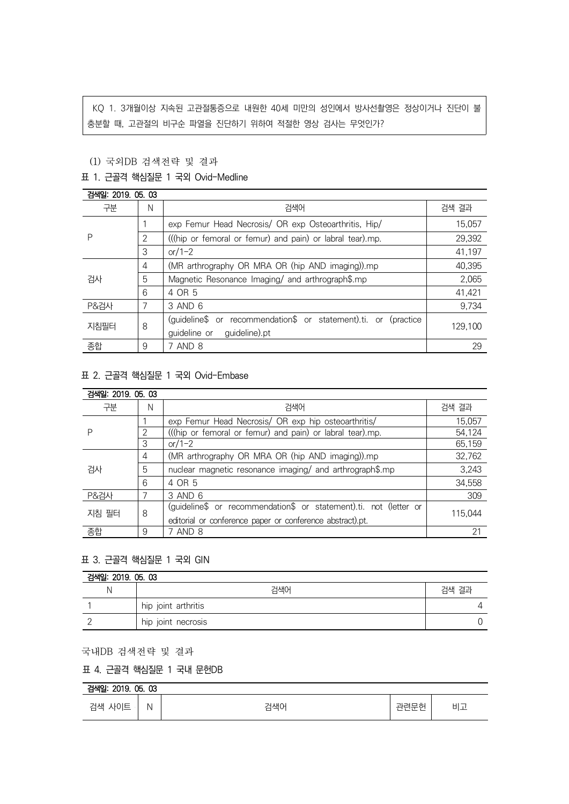KQ 1. 3개월이상 지속된 고관절통증으로 내원한 40세 미만의 성인에서 방사선촬영은 정상이거나 진단이 불 충분할 때, 고관절의 비구순 파열을 진단하기 위하여 적절한 영상 검사는 무엇인가?

# (1) 국외DB 검색전략 및 결과

### 표 1. 근골격 핵심질문 1 국외 Ovid-Medline

| 검색일: 2019. 05. 03 |               |                                                                 |         |  |  |
|-------------------|---------------|-----------------------------------------------------------------|---------|--|--|
| 구분                | N             | 검색어                                                             | 검색 결과   |  |  |
| Р                 |               | exp Femur Head Necrosis/ OR exp Osteoarthritis, Hip/            | 15,057  |  |  |
|                   | $\mathcal{P}$ | (((hip or femoral or femur) and pain) or labral tear).mp.       | 29,392  |  |  |
|                   | 3             | or/1-2                                                          | 41,197  |  |  |
| 검사                | 4             | (MR arthrography OR MRA OR (hip AND imaging)).mp                | 40,395  |  |  |
|                   | 5             | Magnetic Resonance Imaging/ and arthrograph\$.mp                | 2,065   |  |  |
|                   | 6             | 4 OR 5                                                          | 41,421  |  |  |
| <b>P&amp;검사</b>   |               | 3 AND 6                                                         | 9,734   |  |  |
| 지침필터              | 8             | (quideline\$ or recommendation\$ or statement).ti. or (practice | 129.100 |  |  |
|                   |               | guideline or<br>guideline).pt                                   |         |  |  |
| 종합                | 9             | 7 AND 8                                                         | 29      |  |  |

# 표 2. 근골격 핵심질문 1 국외 Ovid-Embase

| 검색일: 2019, 05, 03 |   |                                                                   |         |  |
|-------------------|---|-------------------------------------------------------------------|---------|--|
| 구분                | N | 검색어                                                               | 검색 결과   |  |
|                   |   | exp Femur Head Necrosis/ OR exp hip osteoarthritis/               | 15,057  |  |
|                   |   | (((hip or femoral or femur) and pain) or labral tear).mp.         | 54.124  |  |
|                   | 3 | or/1-2                                                            | 65,159  |  |
| 검사                | 4 | (MR arthrography OR MRA OR (hip AND imaging)).mp                  | 32,762  |  |
|                   | 5 | nuclear magnetic resonance imaging/ and arthrograph\$.mp          | 3,243   |  |
|                   | 6 | 4 OR 5                                                            | 34,558  |  |
| <b>P&amp;검사</b>   |   | 3 AND 6                                                           | 309     |  |
| 지침 필터             | 8 | (guideline\$ or recommendation\$ or statement).ti. not (letter or | 115.044 |  |
|                   |   | editorial or conference paper or conference abstract).pt.         |         |  |
| 종합                | 9 | 7 AND 8                                                           | 21      |  |

#### 표 3. 근골격 핵심질문 1 국외 GIN

| 검색일: 2019.05.03 |                     |       |  |  |
|-----------------|---------------------|-------|--|--|
|                 | 검색어                 | 검색 결과 |  |  |
|                 | hip joint arthritis |       |  |  |
|                 | hip joint necrosis  |       |  |  |

#### 국내DB 검색전략 및 결과

### 표 4. 근골격 핵심질문 1 국내 문헌DB

# 검색일: 2019. 05. 03

| 검색 사이트 | N | 건샌어 | 관련문헌<br>_ _ | 비고 |
|--------|---|-----|-------------|----|
|--------|---|-----|-------------|----|